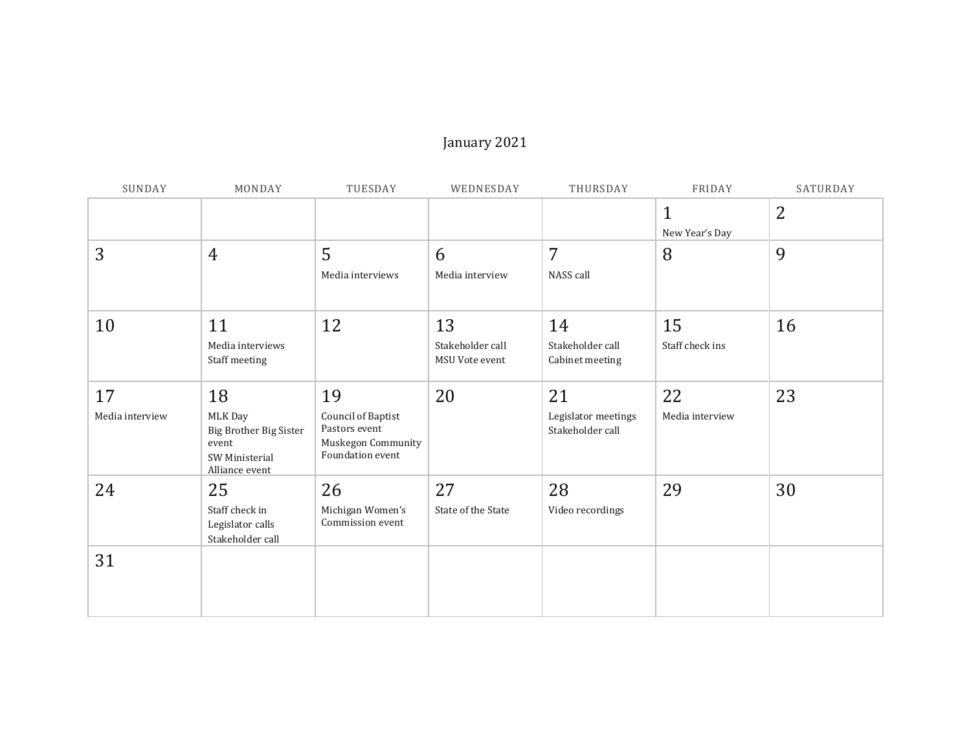## January 2021

| SUNDAY                | MONDAY                                                                               | TUESDAY                                                                             | WEDNESDAY                                | THURSDAY                                      | FRIDAY                         | SATURDAY |
|-----------------------|--------------------------------------------------------------------------------------|-------------------------------------------------------------------------------------|------------------------------------------|-----------------------------------------------|--------------------------------|----------|
|                       |                                                                                      |                                                                                     |                                          |                                               | $\mathbf{1}$<br>New Year's Day | 2        |
| 3                     | $\overline{4}$                                                                       | 5<br>Media interviews                                                               | 6<br>Media interview                     | 7<br>NASS call                                | 8                              | 9        |
| 10                    | 11<br>Media interviews<br>Staff meeting                                              | 12                                                                                  | 13<br>Stakeholder call<br>MSU Vote event | 14<br>Stakeholder call<br>Cabinet meeting     | 15<br>Staff check ins          | 16       |
| 17<br>Media interview | 18<br>MLK Day<br>Big Brother Big Sister<br>event<br>SW Ministerial<br>Alliance event | 19<br>Council of Baptist<br>Pastors event<br>Muskegon Community<br>Foundation event | 20                                       | 21<br>Legislator meetings<br>Stakeholder call | 22<br>Media interview          | 23       |
| 24                    | 25<br>Staff check in<br>Legislator calls<br>Stakeholder call                         | 26<br>Michigan Women's<br>Commission event                                          | 27<br>State of the State                 | 28<br>Video recordings                        | 29                             | 30       |
| 31                    |                                                                                      |                                                                                     |                                          |                                               |                                |          |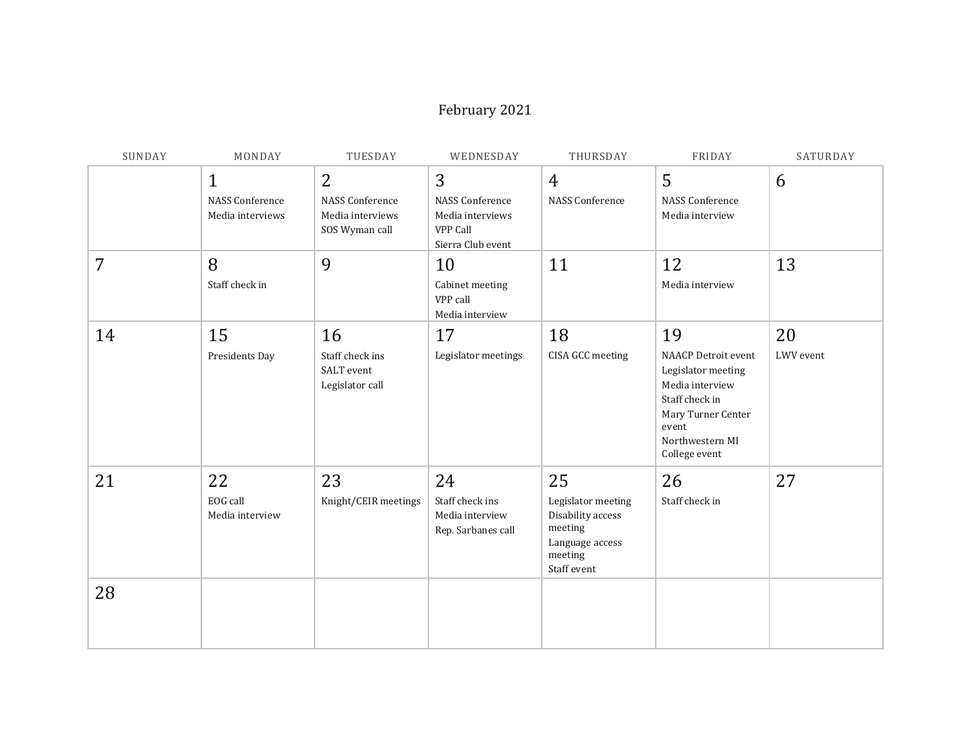#### February 2021

| SUNDAY | MONDAY                                                     | TUESDAY                                                                        | WEDNESDAY                                                                        | THURSDAY                                                                                              | FRIDAY                                                                                                                                                         | SATURDAY        |
|--------|------------------------------------------------------------|--------------------------------------------------------------------------------|----------------------------------------------------------------------------------|-------------------------------------------------------------------------------------------------------|----------------------------------------------------------------------------------------------------------------------------------------------------------------|-----------------|
|        | $\mathbf{1}$<br><b>NASS Conference</b><br>Media interviews | $\overline{2}$<br><b>NASS Conference</b><br>Media interviews<br>SOS Wyman call | 3<br><b>NASS Conference</b><br>Media interviews<br>VPP Call<br>Sierra Club event | $\overline{4}$<br>NASS Conference                                                                     | 5<br><b>NASS Conference</b><br>Media interview                                                                                                                 | 6               |
| 7      | 8<br>Staff check in                                        | 9                                                                              | 10<br>Cabinet meeting<br>VPP call<br>Media interview                             | 11                                                                                                    | 12<br>Media interview                                                                                                                                          | 13              |
| 14     | 15<br>Presidents Day                                       | 16<br>Staff check ins<br>SALT event<br>Legislator call                         | 17<br>Legislator meetings                                                        | 18<br>CISA GCC meeting                                                                                | 19<br><b>NAACP Detroit event</b><br>Legislator meeting<br>Media interview<br>Staff check in<br>Mary Turner Center<br>event<br>Northwestern MI<br>College event | 20<br>LWV event |
| 21     | 22<br>EOG call<br>Media interview                          | 23<br>Knight/CEIR meetings                                                     | 24<br>Staff check ins<br>Media interview<br>Rep. Sarbanes call                   | 25<br>Legislator meeting<br>Disability access<br>meeting<br>Language access<br>meeting<br>Staff event | 26<br>Staff check in                                                                                                                                           | 27              |
| 28     |                                                            |                                                                                |                                                                                  |                                                                                                       |                                                                                                                                                                |                 |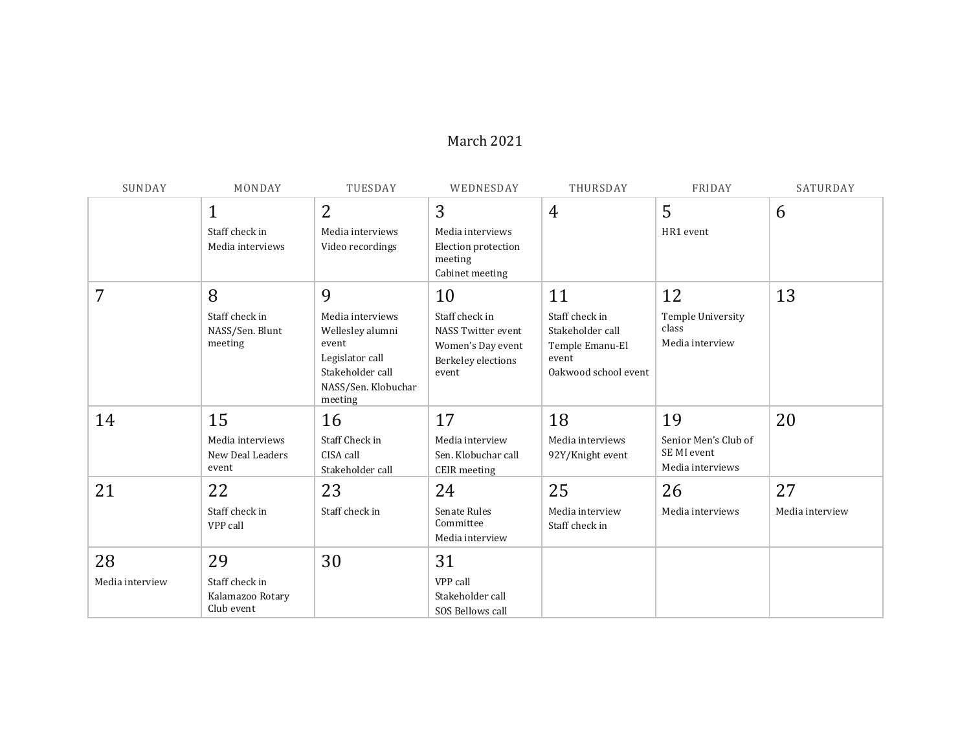#### March 2021

| SUNDAY                | MONDAY                                                 | TUESDAY                                                                                                                     | WEDNESDAY                                                                                      | THURSDAY                                                                                     | FRIDAY                                                        | SATURDAY              |
|-----------------------|--------------------------------------------------------|-----------------------------------------------------------------------------------------------------------------------------|------------------------------------------------------------------------------------------------|----------------------------------------------------------------------------------------------|---------------------------------------------------------------|-----------------------|
|                       | $\mathbf{1}$<br>Staff check in<br>Media interviews     | 2<br>Media interviews<br>Video recordings                                                                                   | 3<br>Media interviews<br>Election protection<br>meeting<br>Cabinet meeting                     | $\overline{4}$                                                                               | 5<br>HR1 event                                                | 6                     |
| 7                     | 8<br>Staff check in<br>NASS/Sen. Blunt<br>meeting      | 9<br>Media interviews<br>Wellesley alumni<br>event<br>Legislator call<br>Stakeholder call<br>NASS/Sen. Klobuchar<br>meeting | 10<br>Staff check in<br>NASS Twitter event<br>Women's Day event<br>Berkeley elections<br>event | 11<br>Staff check in<br>Stakeholder call<br>Temple Emanu-El<br>event<br>Oakwood school event | 12<br>Temple University<br>class<br>Media interview           | 13                    |
| 14                    | 15<br>Media interviews<br>New Deal Leaders<br>event    | 16<br><b>Staff Check in</b><br>CISA call<br>Stakeholder call                                                                | 17<br>Media interview<br>Sen. Klobuchar call<br><b>CEIR</b> meeting                            | 18<br>Media interviews<br>92Y/Knight event                                                   | 19<br>Senior Men's Club of<br>SE MI event<br>Media interviews | 20                    |
| 21                    | 22<br>Staff check in<br>VPP call                       | 23<br>Staff check in                                                                                                        | 24<br>Senate Rules<br>Committee<br>Media interview                                             | 25<br>Media interview<br>Staff check in                                                      | 26<br>Media interviews                                        | 27<br>Media interview |
| 28<br>Media interview | 29<br>Staff check in<br>Kalamazoo Rotary<br>Club event | 30                                                                                                                          | 31<br>VPP call<br>Stakeholder call<br>SOS Bellows call                                         |                                                                                              |                                                               |                       |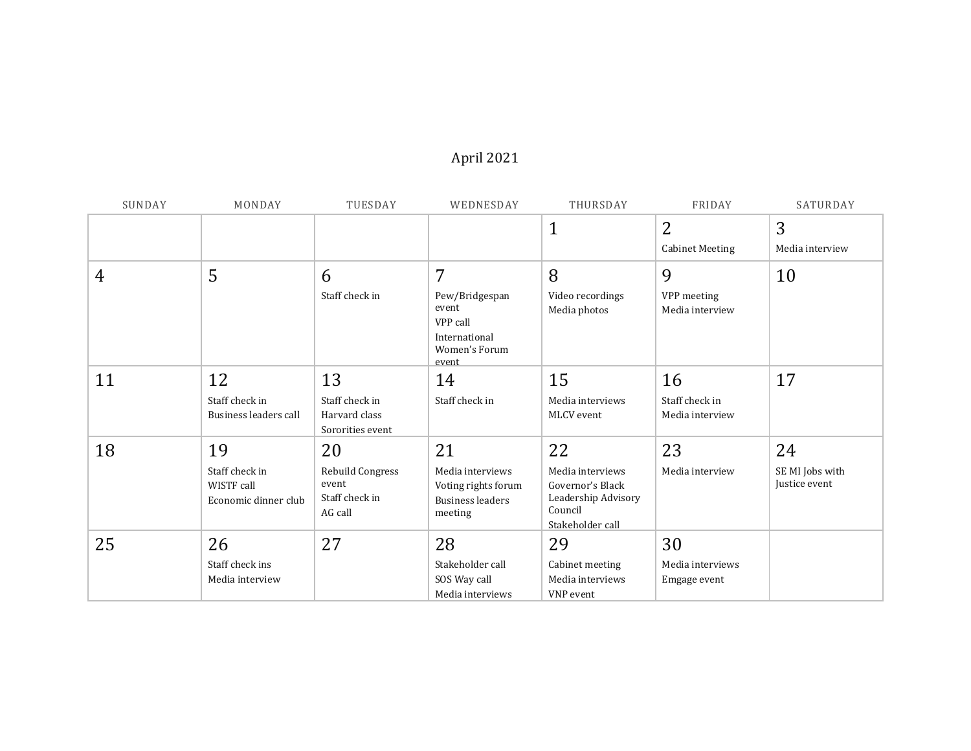# April 2021

| SUNDAY         | MONDAY                                               | TUESDAY                                                | WEDNESDAY                                                                      | THURSDAY                                                                                   | FRIDAY                            | SATURDAY                         |
|----------------|------------------------------------------------------|--------------------------------------------------------|--------------------------------------------------------------------------------|--------------------------------------------------------------------------------------------|-----------------------------------|----------------------------------|
|                |                                                      |                                                        |                                                                                | $\mathbf{1}$                                                                               | $\overline{2}$                    | 3                                |
|                |                                                      |                                                        |                                                                                |                                                                                            | <b>Cabinet Meeting</b>            | Media interview                  |
| $\overline{4}$ | 5                                                    | 6                                                      | 7                                                                              | 8                                                                                          | 9                                 | 10                               |
|                |                                                      | Staff check in                                         | Pew/Bridgespan<br>event<br>VPP call<br>International<br>Women's Forum<br>event | Video recordings<br>Media photos                                                           | VPP meeting<br>Media interview    |                                  |
| 11             | 12                                                   | 13                                                     | 14                                                                             | 15                                                                                         | 16                                | 17                               |
|                | Staff check in<br>Business leaders call              | Staff check in<br>Harvard class<br>Sororities event    | Staff check in                                                                 | Media interviews<br>MLCV event                                                             | Staff check in<br>Media interview |                                  |
| 18             | 19                                                   | 20                                                     | 21                                                                             | 22                                                                                         | 23                                | 24                               |
|                | Staff check in<br>WISTF call<br>Economic dinner club | Rebuild Congress<br>event<br>Staff check in<br>AG call | Media interviews<br>Voting rights forum<br><b>Business leaders</b><br>meeting  | Media interviews<br>Governor's Black<br>Leadership Advisory<br>Council<br>Stakeholder call | Media interview                   | SE MI Jobs with<br>Justice event |
| 25             | 26                                                   | 27                                                     | 28                                                                             | 29                                                                                         | 30                                |                                  |
|                | Staff check ins                                      |                                                        | Stakeholder call                                                               | Cabinet meeting                                                                            | Media interviews                  |                                  |
|                | Media interview                                      |                                                        | SOS Way call                                                                   | Media interviews                                                                           | Emgage event                      |                                  |
|                |                                                      |                                                        | Media interviews                                                               | VNP event                                                                                  |                                   |                                  |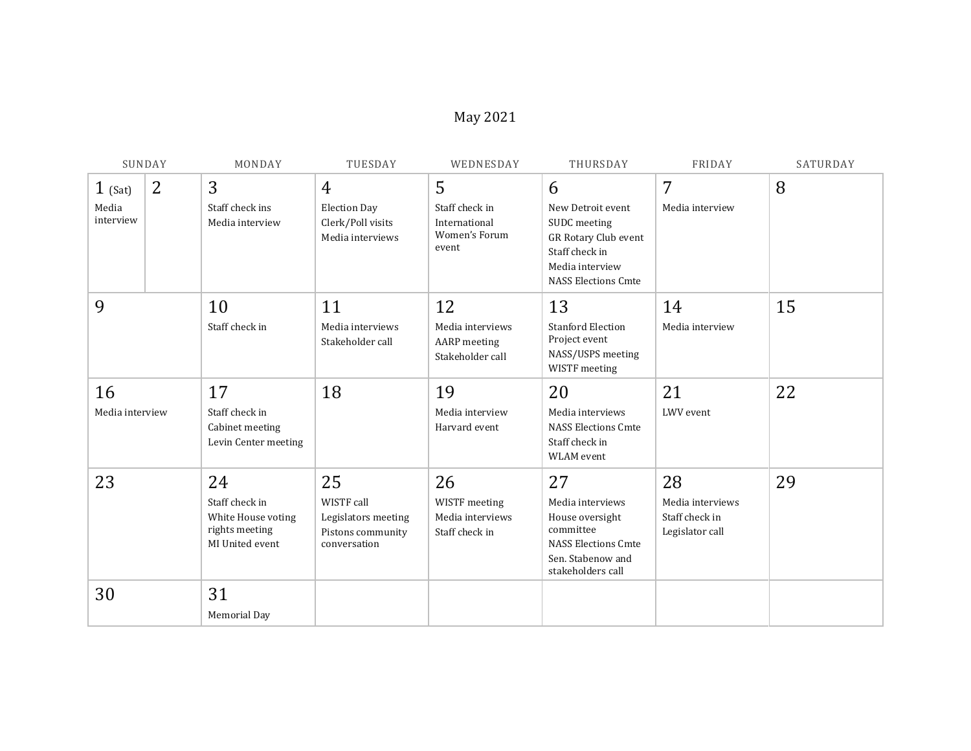## May 2021

|                                 | SUNDAY         | MONDAY                                                                          | TUESDAY                                                                        | WEDNESDAY                                                      | THURSDAY                                                                                                                          | FRIDAY                                                      | SATURDAY |
|---------------------------------|----------------|---------------------------------------------------------------------------------|--------------------------------------------------------------------------------|----------------------------------------------------------------|-----------------------------------------------------------------------------------------------------------------------------------|-------------------------------------------------------------|----------|
| $1$ (Sat)<br>Media<br>interview | $\overline{2}$ | 3<br>Staff check ins<br>Media interview                                         | $\overline{4}$<br><b>Election Day</b><br>Clerk/Poll visits<br>Media interviews | 5<br>Staff check in<br>International<br>Women's Forum<br>event | 6<br>New Detroit event<br>SUDC meeting<br>GR Rotary Club event<br>Staff check in<br>Media interview<br><b>NASS Elections Cmte</b> | 7<br>Media interview                                        | 8        |
| 9                               |                | 10<br>Staff check in                                                            | 11<br>Media interviews<br>Stakeholder call                                     | 12<br>Media interviews<br>AARP meeting<br>Stakeholder call     | 13<br><b>Stanford Election</b><br>Project event<br>NASS/USPS meeting<br>WISTF meeting                                             | 14<br>Media interview                                       | 15       |
| 16<br>Media interview           |                | 17<br>Staff check in<br>Cabinet meeting<br>Levin Center meeting                 | 18                                                                             | 19<br>Media interview<br>Harvard event                         | 20<br>Media interviews<br><b>NASS Elections Cmte</b><br>Staff check in<br>WLAM event                                              | 21<br>LWV event                                             | 22       |
| 23                              |                | 24<br>Staff check in<br>White House voting<br>rights meeting<br>MI United event | 25<br>WISTF call<br>Legislators meeting<br>Pistons community<br>conversation   | 26<br>WISTF meeting<br>Media interviews<br>Staff check in      | 27<br>Media interviews<br>House oversight<br>committee<br><b>NASS Elections Cmte</b><br>Sen. Stabenow and<br>stakeholders call    | 28<br>Media interviews<br>Staff check in<br>Legislator call | 29       |
| 30                              |                | 31<br>Memorial Day                                                              |                                                                                |                                                                |                                                                                                                                   |                                                             |          |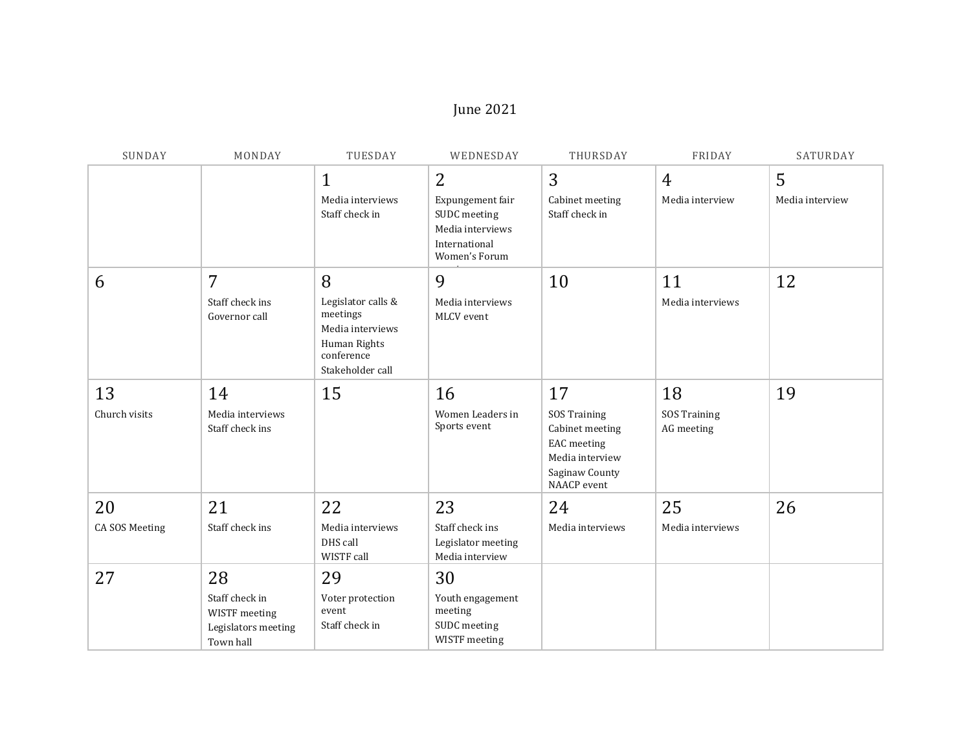## June 2021

| SUNDAY         | MONDAY                                                              | TUESDAY                                                                                              | WEDNESDAY                                                          | THURSDAY                                                                                                         | FRIDAY                            | SATURDAY             |
|----------------|---------------------------------------------------------------------|------------------------------------------------------------------------------------------------------|--------------------------------------------------------------------|------------------------------------------------------------------------------------------------------------------|-----------------------------------|----------------------|
|                |                                                                     | $\mathbf{1}$<br>Media interviews                                                                     | $\overline{2}$<br>Expungement fair                                 | 3<br>Cabinet meeting                                                                                             | $\overline{4}$<br>Media interview | 5<br>Media interview |
|                |                                                                     | Staff check in                                                                                       | SUDC meeting<br>Media interviews<br>International<br>Women's Forum | Staff check in                                                                                                   |                                   |                      |
| 6              | $\overline{7}$                                                      | 8                                                                                                    | 9                                                                  | 10                                                                                                               | 11                                | 12                   |
|                | Staff check ins<br>Governor call                                    | Legislator calls &<br>meetings<br>Media interviews<br>Human Rights<br>conference<br>Stakeholder call | Media interviews<br>MLCV event                                     |                                                                                                                  | Media interviews                  |                      |
| 13             | 14                                                                  | 15                                                                                                   | 16                                                                 | 17                                                                                                               | 18                                | 19                   |
| Church visits  | Media interviews<br>Staff check ins                                 |                                                                                                      | Women Leaders in<br>Sports event                                   | <b>SOS Training</b><br>Cabinet meeting<br><b>EAC</b> meeting<br>Media interview<br>Saginaw County<br>NAACP event | <b>SOS Training</b><br>AG meeting |                      |
| 20             | 21                                                                  | 22                                                                                                   | 23                                                                 | 24                                                                                                               | 25                                | 26                   |
| CA SOS Meeting | Staff check ins                                                     | Media interviews<br>DHS call<br>WISTF call                                                           | Staff check ins<br>Legislator meeting<br>Media interview           | Media interviews                                                                                                 | Media interviews                  |                      |
| 27             | 28                                                                  | 29                                                                                                   | 30                                                                 |                                                                                                                  |                                   |                      |
|                | Staff check in<br>WISTF meeting<br>Legislators meeting<br>Town hall | Voter protection<br>event<br>Staff check in                                                          | Youth engagement<br>meeting<br>SUDC meeting<br>WISTF meeting       |                                                                                                                  |                                   |                      |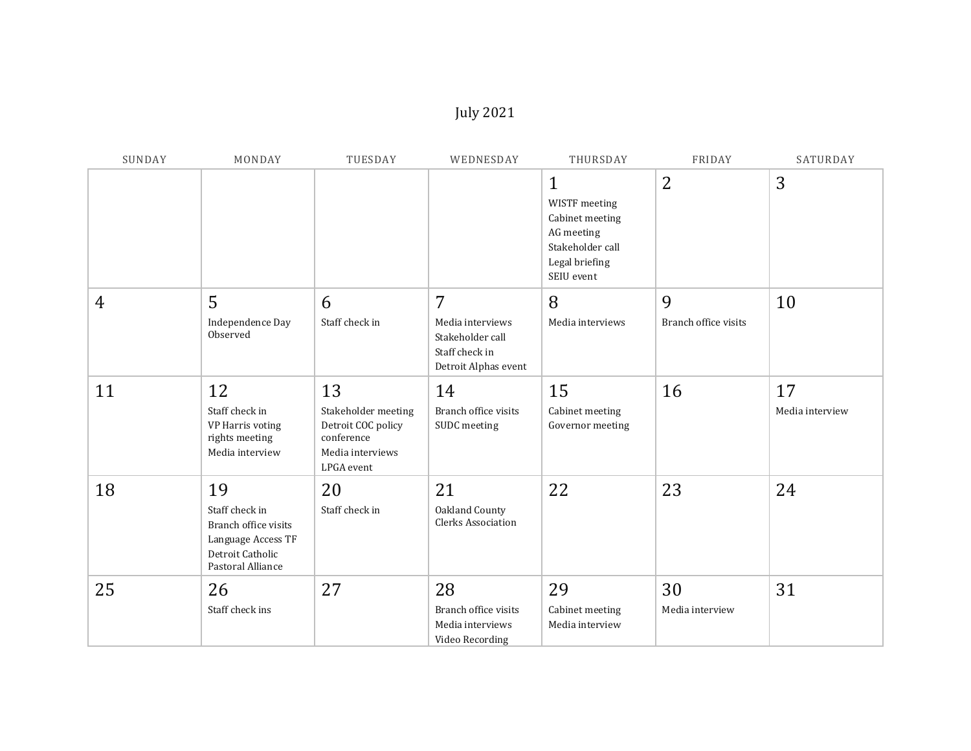## July 2021

| SUNDAY         | MONDAY                                                                                                      | TUESDAY                                                                                         | WEDNESDAY                                                                           | THURSDAY                                                                                                           | FRIDAY                    | SATURDAY              |
|----------------|-------------------------------------------------------------------------------------------------------------|-------------------------------------------------------------------------------------------------|-------------------------------------------------------------------------------------|--------------------------------------------------------------------------------------------------------------------|---------------------------|-----------------------|
|                |                                                                                                             |                                                                                                 |                                                                                     | $\mathbf{1}$<br>WISTF meeting<br>Cabinet meeting<br>AG meeting<br>Stakeholder call<br>Legal briefing<br>SEIU event | $\overline{2}$            | 3                     |
| $\overline{4}$ | 5<br>Independence Day<br>Observed                                                                           | 6<br>Staff check in                                                                             | 7<br>Media interviews<br>Stakeholder call<br>Staff check in<br>Detroit Alphas event | 8<br>Media interviews                                                                                              | 9<br>Branch office visits | 10                    |
| 11             | 12<br>Staff check in<br>VP Harris voting<br>rights meeting<br>Media interview                               | 13<br>Stakeholder meeting<br>Detroit COC policy<br>conference<br>Media interviews<br>LPGA event | 14<br>Branch office visits<br>SUDC meeting                                          | 15<br>Cabinet meeting<br>Governor meeting                                                                          | 16                        | 17<br>Media interview |
| 18             | 19<br>Staff check in<br>Branch office visits<br>Language Access TF<br>Detroit Catholic<br>Pastoral Alliance | 20<br>Staff check in                                                                            | 21<br>Oakland County<br>Clerks Association                                          | 22                                                                                                                 | 23                        | 24                    |
| 25             | 26<br>Staff check ins                                                                                       | 27                                                                                              | 28<br>Branch office visits<br>Media interviews<br>Video Recording                   | 29<br>Cabinet meeting<br>Media interview                                                                           | 30<br>Media interview     | 31                    |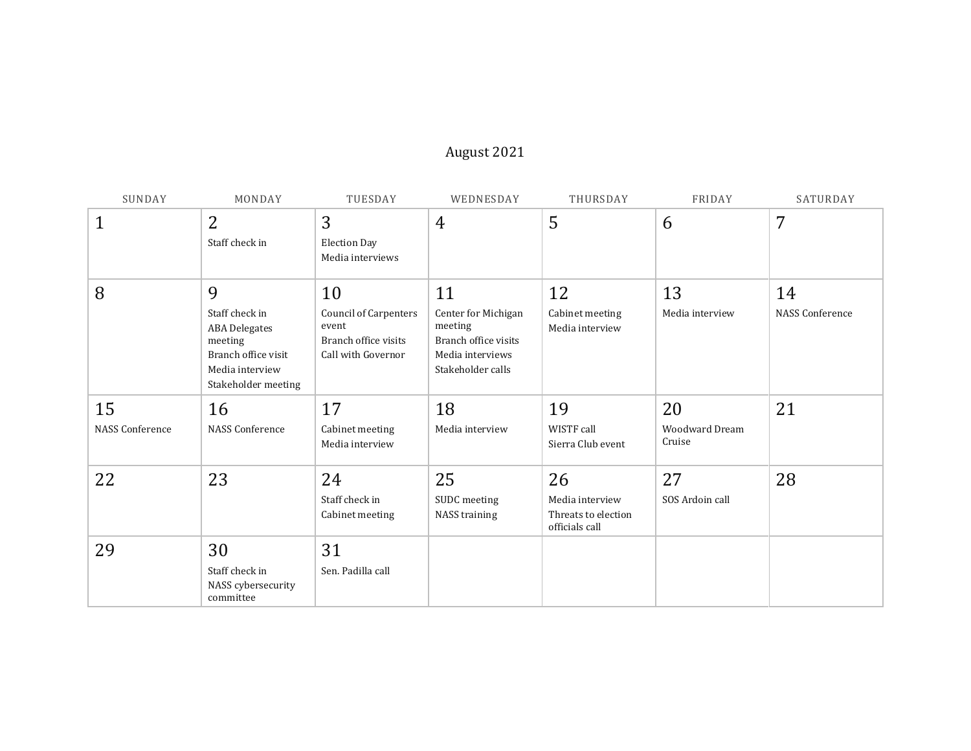## August 2021

| SUNDAY                       | MONDAY                                                                                                                  | TUESDAY                                                                                   | WEDNESDAY                                                                                             | THURSDAY                                                       | FRIDAY                                | SATURDAY                     |
|------------------------------|-------------------------------------------------------------------------------------------------------------------------|-------------------------------------------------------------------------------------------|-------------------------------------------------------------------------------------------------------|----------------------------------------------------------------|---------------------------------------|------------------------------|
| 1                            | $\overline{2}$<br>Staff check in                                                                                        | 3<br><b>Election Day</b><br>Media interviews                                              | $\overline{4}$                                                                                        | 5                                                              | 6                                     | 7                            |
| 8                            | 9<br>Staff check in<br><b>ABA</b> Delegates<br>meeting<br>Branch office visit<br>Media interview<br>Stakeholder meeting | 10<br><b>Council of Carpenters</b><br>event<br>Branch office visits<br>Call with Governor | 11<br>Center for Michigan<br>meeting<br>Branch office visits<br>Media interviews<br>Stakeholder calls | 12<br>Cabinet meeting<br>Media interview                       | 13<br>Media interview                 | 14<br><b>NASS Conference</b> |
| 15<br><b>NASS Conference</b> | 16<br><b>NASS Conference</b>                                                                                            | 17<br>Cabinet meeting<br>Media interview                                                  | 18<br>Media interview                                                                                 | 19<br>WISTF call<br>Sierra Club event                          | 20<br><b>Woodward Dream</b><br>Cruise | 21                           |
| 22                           | 23                                                                                                                      | 24<br>Staff check in<br>Cabinet meeting                                                   | 25<br>SUDC meeting<br>NASS training                                                                   | 26<br>Media interview<br>Threats to election<br>officials call | 27<br>SOS Ardoin call                 | 28                           |
| 29                           | 30<br>Staff check in<br>NASS cybersecurity<br>committee                                                                 | 31<br>Sen. Padilla call                                                                   |                                                                                                       |                                                                |                                       |                              |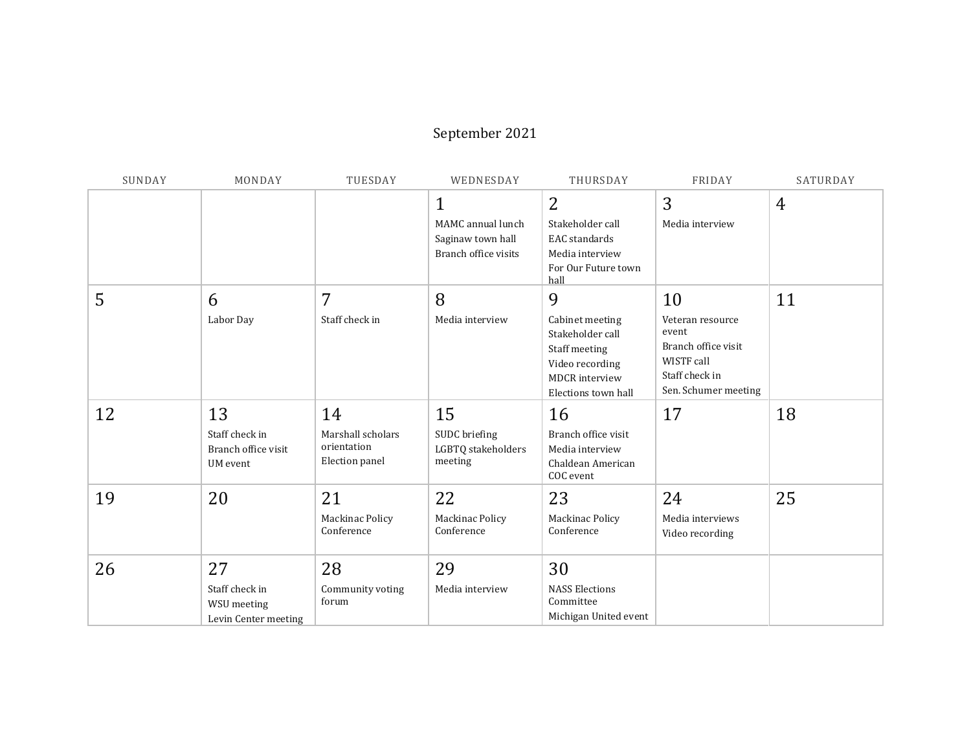## September 2021

| SUNDAY | MONDAY                          | TUESDAY                       | WEDNESDAY                              | THURSDAY                                     | FRIDAY                       | SATURDAY       |
|--------|---------------------------------|-------------------------------|----------------------------------------|----------------------------------------------|------------------------------|----------------|
|        |                                 |                               | $\mathbf{1}$                           | $\overline{2}$                               | 3                            | $\overline{4}$ |
|        |                                 |                               | MAMC annual lunch<br>Saginaw town hall | Stakeholder call<br>EAC standards            | Media interview              |                |
|        |                                 |                               | Branch office visits                   | Media interview                              |                              |                |
|        |                                 |                               |                                        | For Our Future town<br>hall                  |                              |                |
| 5      | 6                               | 7                             | 8                                      | 9                                            | 10                           | 11             |
|        | Labor Day                       | Staff check in                | Media interview                        | Cabinet meeting<br>Stakeholder call          | Veteran resource<br>event    |                |
|        |                                 |                               |                                        | Staff meeting                                | Branch office visit          |                |
|        |                                 |                               |                                        | Video recording                              | WISTF call<br>Staff check in |                |
|        |                                 |                               |                                        | <b>MDCR</b> interview<br>Elections town hall | Sen. Schumer meeting         |                |
| 12     | 13                              | 14                            | 15                                     | 16                                           | 17                           | 18             |
|        | Staff check in                  | Marshall scholars             | SUDC briefing                          | Branch office visit                          |                              |                |
|        | Branch office visit<br>UM event | orientation<br>Election panel | LGBTQ stakeholders<br>meeting          | Media interview<br>Chaldean American         |                              |                |
|        |                                 |                               |                                        | COC event                                    |                              |                |
| 19     | 20                              | 21                            | 22                                     | 23                                           | 24                           | 25             |
|        |                                 | Mackinac Policy               | Mackinac Policy                        | Mackinac Policy                              | Media interviews             |                |
|        |                                 | Conference                    | Conference                             | Conference                                   | Video recording              |                |
| 26     | 27                              | 28                            | 29                                     | 30                                           |                              |                |
|        | Staff check in                  | Community voting              | Media interview                        | <b>NASS Elections</b>                        |                              |                |
|        | WSU meeting                     | forum                         |                                        | Committee<br>Michigan United event           |                              |                |
|        | Levin Center meeting            |                               |                                        |                                              |                              |                |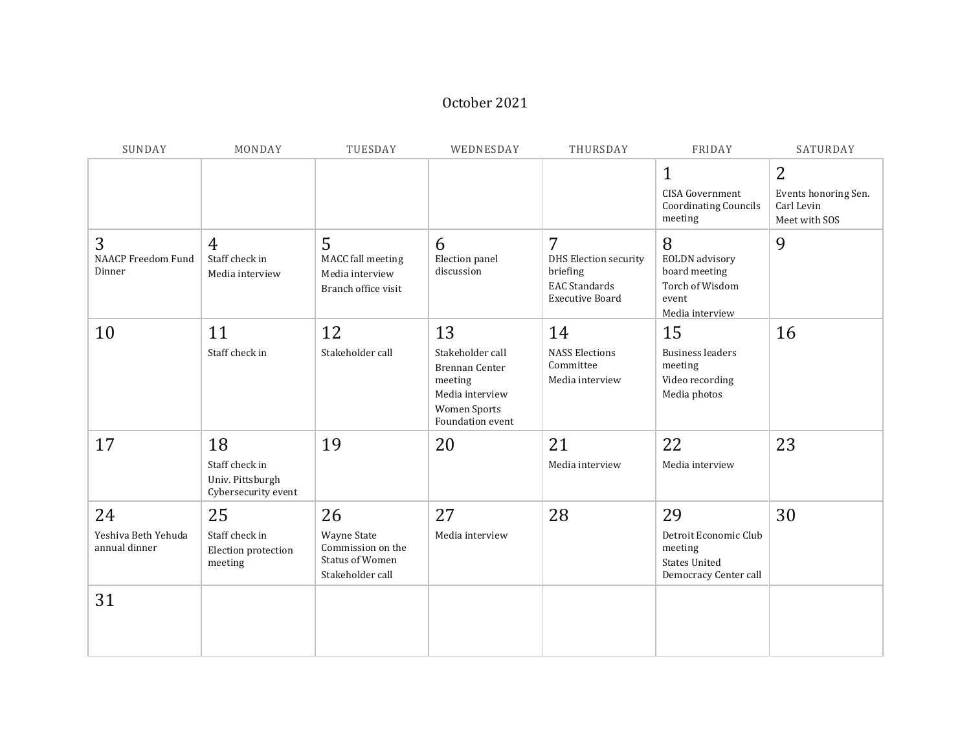## October 2021

| SUNDAY                                     | MONDAY                                                          | TUESDAY                                                                              | WEDNESDAY                                                                                                         | THURSDAY                                                                                                     | FRIDAY                                                                                     | SATURDAY                                                 |
|--------------------------------------------|-----------------------------------------------------------------|--------------------------------------------------------------------------------------|-------------------------------------------------------------------------------------------------------------------|--------------------------------------------------------------------------------------------------------------|--------------------------------------------------------------------------------------------|----------------------------------------------------------|
|                                            |                                                                 |                                                                                      |                                                                                                                   |                                                                                                              | $\mathbf{1}$<br><b>CISA Government</b><br><b>Coordinating Councils</b><br>meeting          | 2<br>Events honoring Sen.<br>Carl Levin<br>Meet with SOS |
| 3<br><b>NAACP Freedom Fund</b><br>Dinner   | $\overline{4}$<br>Staff check in<br>Media interview             | 5<br>MACC fall meeting<br>Media interview<br>Branch office visit                     | 6<br>Election panel<br>discussion                                                                                 | $\overline{7}$<br><b>DHS Election security</b><br>briefing<br><b>EAC</b> Standards<br><b>Executive Board</b> | 8<br><b>EOLDN</b> advisory<br>board meeting<br>Torch of Wisdom<br>event<br>Media interview | 9                                                        |
| 10                                         | 11<br>Staff check in                                            | 12<br>Stakeholder call                                                               | 13<br>Stakeholder call<br>Brennan Center<br>meeting<br>Media interview<br><b>Women Sports</b><br>Foundation event | 14<br><b>NASS Elections</b><br>Committee<br>Media interview                                                  | 15<br><b>Business leaders</b><br>meeting<br>Video recording<br>Media photos                | 16                                                       |
| 17                                         | 18<br>Staff check in<br>Univ. Pittsburgh<br>Cybersecurity event | 19                                                                                   | 20                                                                                                                | 21<br>Media interview                                                                                        | 22<br>Media interview                                                                      | 23                                                       |
| 24<br>Yeshiva Beth Yehuda<br>annual dinner | 25<br>Staff check in<br>Election protection<br>meeting          | 26<br>Wayne State<br>Commission on the<br><b>Status of Women</b><br>Stakeholder call | 27<br>Media interview                                                                                             | 28                                                                                                           | 29<br>Detroit Economic Club<br>meeting<br><b>States United</b><br>Democracy Center call    | 30                                                       |
| 31                                         |                                                                 |                                                                                      |                                                                                                                   |                                                                                                              |                                                                                            |                                                          |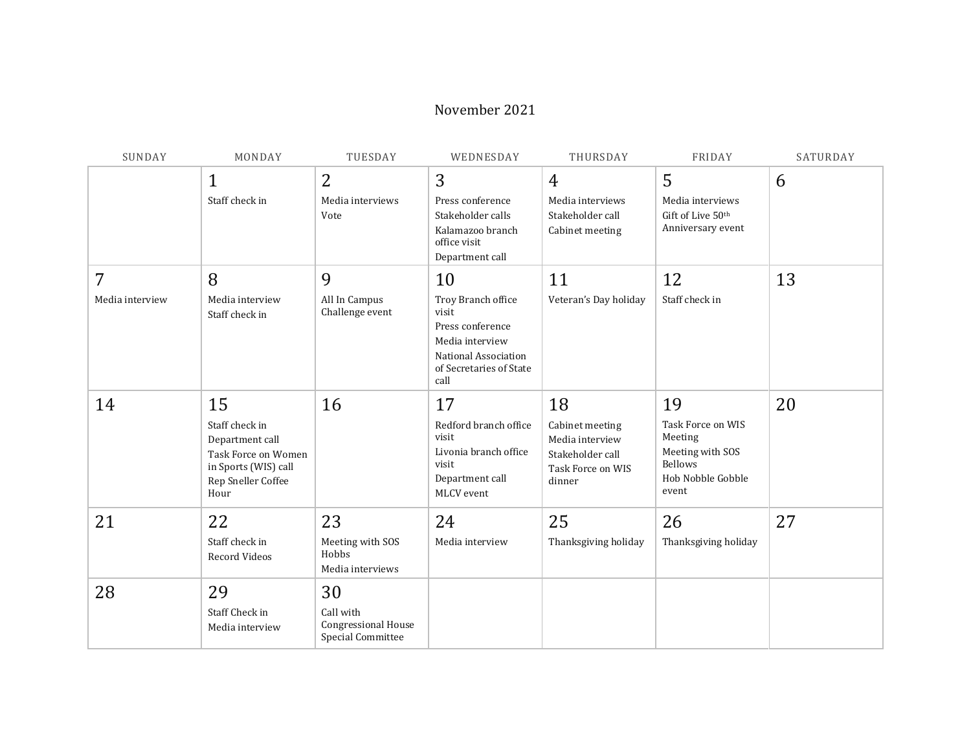#### November 2021

| SUNDAY               | MONDAY                                                                                                               | TUESDAY                                                            | WEDNESDAY                                                                                                                           | THURSDAY                                                                                    | FRIDAY                                                                                                 | SATURDAY |
|----------------------|----------------------------------------------------------------------------------------------------------------------|--------------------------------------------------------------------|-------------------------------------------------------------------------------------------------------------------------------------|---------------------------------------------------------------------------------------------|--------------------------------------------------------------------------------------------------------|----------|
|                      | $\mathbf{1}$<br>Staff check in                                                                                       | $\overline{2}$<br>Media interviews<br>Vote                         | 3<br>Press conference<br>Stakeholder calls<br>Kalamazoo branch<br>office visit<br>Department call                                   | 4<br>Media interviews<br>Stakeholder call<br>Cabinet meeting                                | 5<br>Media interviews<br>Gift of Live 50th<br>Anniversary event                                        | 6        |
| 7<br>Media interview | 8<br>Media interview<br>Staff check in                                                                               | 9<br>All In Campus<br>Challenge event                              | 10<br>Troy Branch office<br>visit<br>Press conference<br>Media interview<br>National Association<br>of Secretaries of State<br>call | 11<br>Veteran's Day holiday                                                                 | 12<br>Staff check in                                                                                   | 13       |
| 14                   | 15<br>Staff check in<br>Department call<br>Task Force on Women<br>in Sports (WIS) call<br>Rep Sneller Coffee<br>Hour | 16                                                                 | 17<br>Redford branch office<br>visit<br>Livonia branch office<br>visit<br>Department call<br>MLCV event                             | 18<br>Cabinet meeting<br>Media interview<br>Stakeholder call<br>Task Force on WIS<br>dinner | 19<br>Task Force on WIS<br>Meeting<br>Meeting with SOS<br><b>Bellows</b><br>Hob Nobble Gobble<br>event | 20       |
| 21                   | 22<br>Staff check in<br>Record Videos                                                                                | 23<br>Meeting with SOS<br>Hobbs<br>Media interviews                | 24<br>Media interview                                                                                                               | 25<br>Thanksgiving holiday                                                                  | 26<br>Thanksgiving holiday                                                                             | 27       |
| 28                   | 29<br>Staff Check in<br>Media interview                                                                              | 30<br>Call with<br><b>Congressional House</b><br>Special Committee |                                                                                                                                     |                                                                                             |                                                                                                        |          |